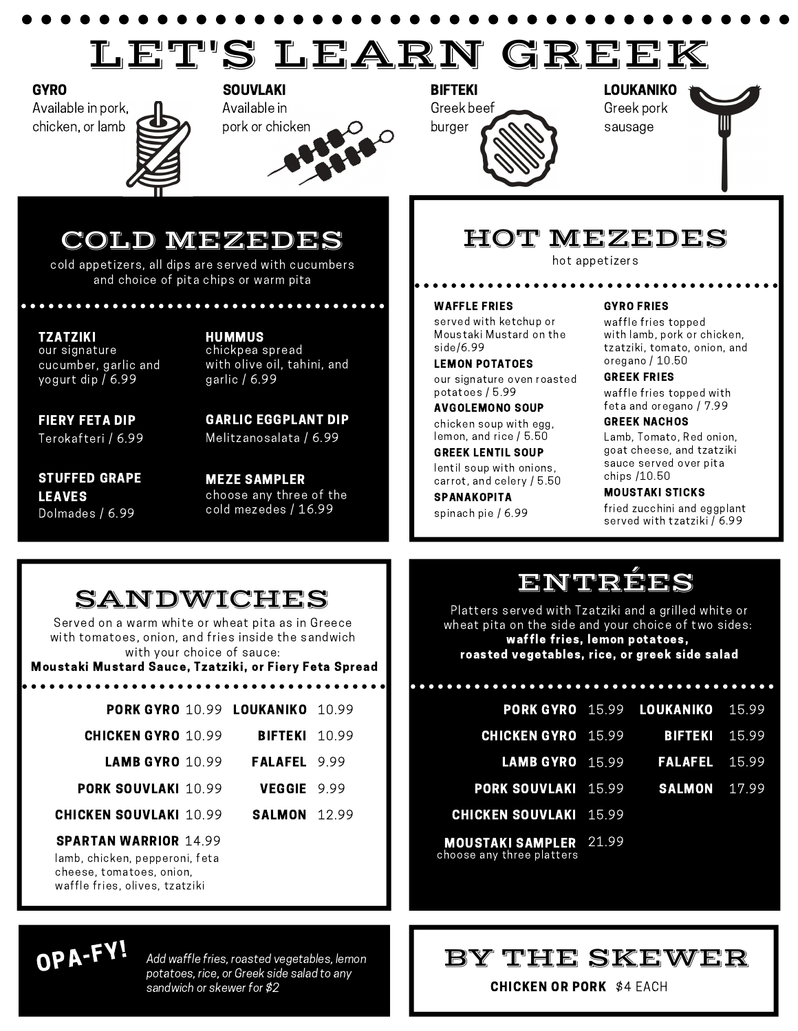# LET'S LEARN GREEK

Available in pork, chicken, or lamb

GYRO SOUVLAKI BIFTEKI





LOUKANIKO Greek pork sausage



## COLD MEZEDES

cold appetizers, all dips are served with cucumbers and choice of pita chips or warm pita

#### TZATZIKI HUMMUS our signature cucumber, garlic and yogurt dip / 6.99

chickpea spread with olive oil, tahini, and garlic / 6.99

FIERY FETA DIP Terokafteri / 6.99

GARLIC EGGPLANT DIP Melitzanosalata / 6.99

STUFFED GRAPE LEAVES Dolmades / 6.99

MEZE SAMPLER choose any three of the cold mezedes / 16.99

## HOT MEZEDES

hot appetizers

#### WAFFLE FRIES

served with ketchup or Moustaki Mustard on the side/6.99

LEMON POTATOES our signature oven roasted potatoes / 5.99

chicken soup with egg,

GREEK LENTIL SOUP lemon, and rice / 5.50

lentil soup with onions, carrot, and celery / 5.50

spinach pie / 6.99

#### GYRO FRIES

waffle fries topped with lamb, pork or chicken, tzatziki, tomato, onion, and oregano / 10.50

### GREEK FRIES

waffle fries topped with AVGOLEMONO SOUP feta and oregano / 7.99

### GREEK NACHOS

Lamb, Tomato, Red onion, goat cheese, and tzatziki sauce served over pita chips /10.50

## SPANAKOPITA MOUSTAKI STICKS

fried zucchini and eggplant served with tzatziki / 6.99

## SANDWICHES

Served on a warm white or wheat pita as in Greece with tomatoes, onion, and fries inside the sandwich with your choice of sauce:

Moustaki Mustard Sauce, Tzatziki, or Fiery Feta Spread

. . . . . . . . . . . . . . . . . . .

|                                                                                                                              |  | <b>PORK GYRO 10.99 LOUKANIKO 10.99</b> |  |
|------------------------------------------------------------------------------------------------------------------------------|--|----------------------------------------|--|
| <b>CHICKEN GYRO</b> 10.99                                                                                                    |  | <b>BIFTEKI</b> 10.99                   |  |
| <b>LAMB GYRO</b> $10.99$                                                                                                     |  | <b>FALAFEL</b> 999                     |  |
| <b>PORK SOUVLAKI 10.99</b>                                                                                                   |  | VEGGIE 9.99                            |  |
| <b>CHICKEN SOUVLAKI 10.99</b>                                                                                                |  | <b>SALMON</b> 12.99                    |  |
| <b>SPARTAN WARRIOR 14.99</b><br>lamb, chicken, pepperoni, feta<br>cheese, tomatoes, onion,<br>waffle fries, olives, tzatziki |  |                                        |  |

## ENTRÉES

Platters served with Tzatziki and a grilled white or wheat pita on the side and your choice of two sides: waffle fries, lemon potatoes, roasted vegetables, rice, or greek side salad

|                                         |                                | PORK GYRO 15.99 LOUKANIKO 15.99             |  |
|-----------------------------------------|--------------------------------|---------------------------------------------|--|
| <b>CHICKEN GYRO</b> 15.99               |                                | <b>BIFTEKI</b> 15.99                        |  |
|                                         |                                | <b>LAMB GYRO</b> 15.99 <b>FALAFEL</b> 15.99 |  |
| <b>PORK SOUVLAKI 15.99 SALMON 17.99</b> |                                |                                             |  |
| <b>CHICKEN SOUVLAKI</b> 15.99           |                                |                                             |  |
| --------------------                    | $\Omega$ <sup>1</sup> $\Omega$ |                                             |  |

choose any three platters MOUSTAKI SAMPLER 21.99

## OPA-FY!

Add waffle fries, roasted vegetables, lemon potatoes, rice, or Greek side salad to any sandwich or skewer for \$2

## BY THE SKEWER

CHICKEN OR PORK \$4 EACH